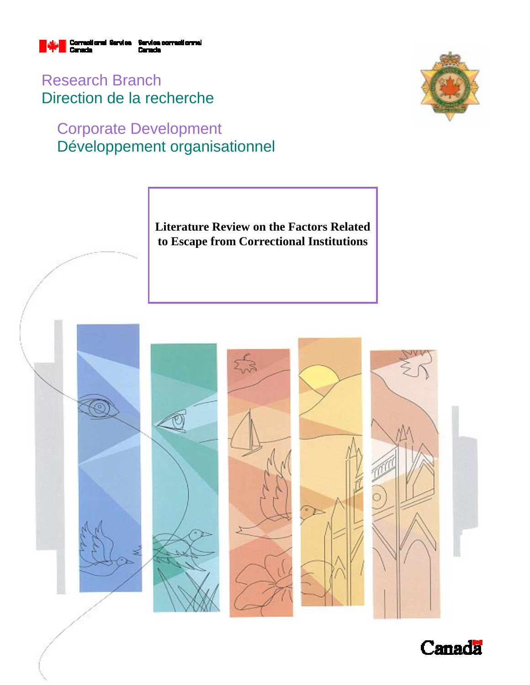

Research Branch Direction de la recherche

# Corporate Development Développement organisationnel



**Literature Review on the Factors Related to Escape from Correctional Institutions** 



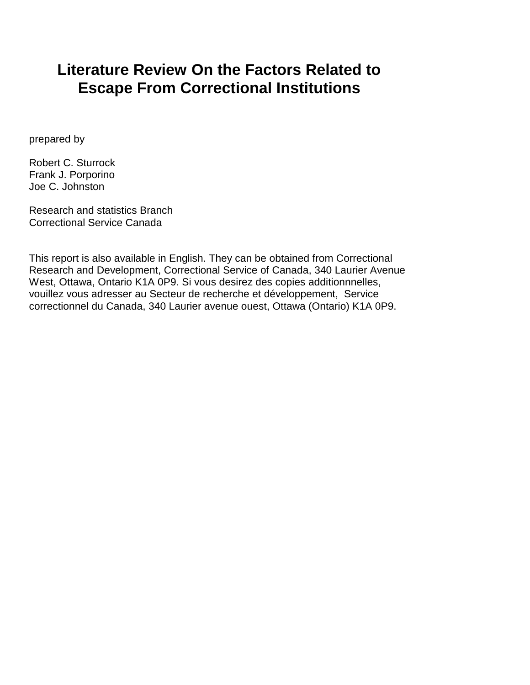# **Literature Review On the Factors Related to Escape From Correctional Institutions**

prepared by

Robert C. Sturrock Frank J. Porporino Joe C. Johnston

Research and statistics Branch Correctional Service Canada

This report is also available in English. They can be obtained from Correctional Research and Development, Correctional Service of Canada, 340 Laurier Avenue West, Ottawa, Ontario K1A 0P9. Si vous desirez des copies additionnnelles, vouillez vous adresser au Secteur de recherche et développement, Service correctionnel du Canada, 340 Laurier avenue ouest, Ottawa (Ontario) K1A 0P9.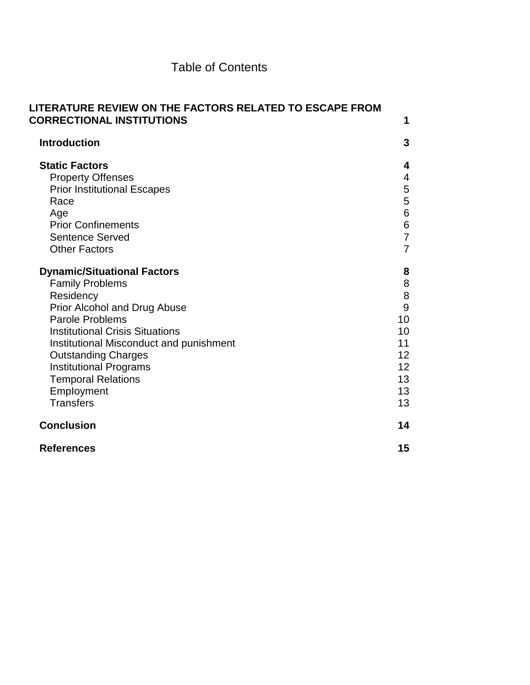## Table of Contents

| LITERATURE REVIEW ON THE FACTORS RELATED TO ESCAPE FROM<br><b>CORRECTIONAL INSTITUTIONS</b>                                                                                                                                                                                                                                                     | 1                                                                |
|-------------------------------------------------------------------------------------------------------------------------------------------------------------------------------------------------------------------------------------------------------------------------------------------------------------------------------------------------|------------------------------------------------------------------|
| <b>Introduction</b>                                                                                                                                                                                                                                                                                                                             | 3                                                                |
| <b>Static Factors</b><br><b>Property Offenses</b><br><b>Prior Institutional Escapes</b><br>Race<br>Age<br><b>Prior Confinements</b><br><b>Sentence Served</b><br><b>Other Factors</b>                                                                                                                                                           | 4<br>4<br>5<br>5<br>6<br>6<br>$\overline{7}$<br>$\overline{7}$   |
| <b>Dynamic/Situational Factors</b><br><b>Family Problems</b><br>Residency<br>Prior Alcohol and Drug Abuse<br>Parole Problems<br><b>Institutional Crisis Situations</b><br>Institutional Misconduct and punishment<br><b>Outstanding Charges</b><br><b>Institutional Programs</b><br><b>Temporal Relations</b><br>Employment<br><b>Transfers</b> | 8<br>8<br>8<br>9<br>10<br>10<br>11<br>12<br>12<br>13<br>13<br>13 |
| <b>Conclusion</b>                                                                                                                                                                                                                                                                                                                               | 14                                                               |
| <b>References</b>                                                                                                                                                                                                                                                                                                                               | 15                                                               |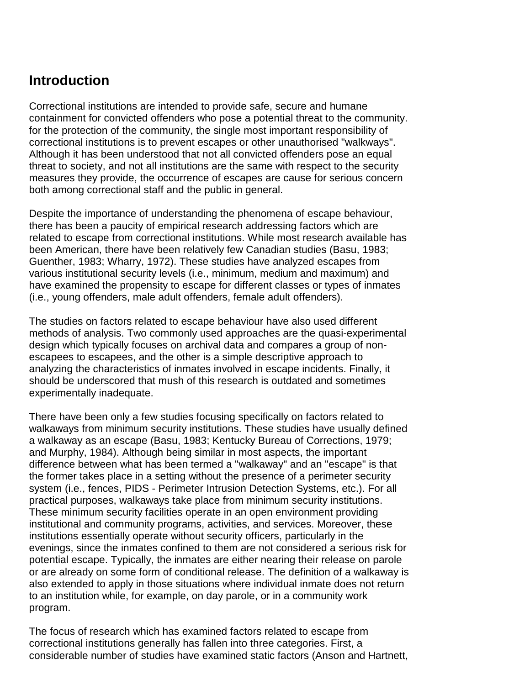## **Introduction**

Correctional institutions are intended to provide safe, secure and humane containment for convicted offenders who pose a potential threat to the community. for the protection of the community, the single most important responsibility of correctional institutions is to prevent escapes or other unauthorised "walkways". Although it has been understood that not all convicted offenders pose an equal threat to society, and not all institutions are the same with respect to the security measures they provide, the occurrence of escapes are cause for serious concern both among correctional staff and the public in general.

Despite the importance of understanding the phenomena of escape behaviour, there has been a paucity of empirical research addressing factors which are related to escape from correctional institutions. While most research available has been American, there have been relatively few Canadian studies (Basu, 1983; Guenther, 1983; Wharry, 1972). These studies have analyzed escapes from various institutional security levels (i.e., minimum, medium and maximum) and have examined the propensity to escape for different classes or types of inmates (i.e., young offenders, male adult offenders, female adult offenders).

The studies on factors related to escape behaviour have also used different methods of analysis. Two commonly used approaches are the quasi-experimental design which typically focuses on archival data and compares a group of nonescapees to escapees, and the other is a simple descriptive approach to analyzing the characteristics of inmates involved in escape incidents. Finally, it should be underscored that mush of this research is outdated and sometimes experimentally inadequate.

There have been only a few studies focusing specifically on factors related to walkaways from minimum security institutions. These studies have usually defined a walkaway as an escape (Basu, 1983; Kentucky Bureau of Corrections, 1979; and Murphy, 1984). Although being similar in most aspects, the important difference between what has been termed a "walkaway" and an "escape" is that the former takes place in a setting without the presence of a perimeter security system (i.e., fences, PIDS - Perimeter Intrusion Detection Systems, etc.). For all practical purposes, walkaways take place from minimum security institutions. These minimum security facilities operate in an open environment providing institutional and community programs, activities, and services. Moreover, these institutions essentially operate without security officers, particularly in the evenings, since the inmates confined to them are not considered a serious risk for potential escape. Typically, the inmates are either nearing their release on parole or are already on some form of conditional release. The definition of a walkaway is also extended to apply in those situations where individual inmate does not return to an institution while, for example, on day parole, or in a community work program.

The focus of research which has examined factors related to escape from correctional institutions generally has fallen into three categories. First, a considerable number of studies have examined static factors (Anson and Hartnett,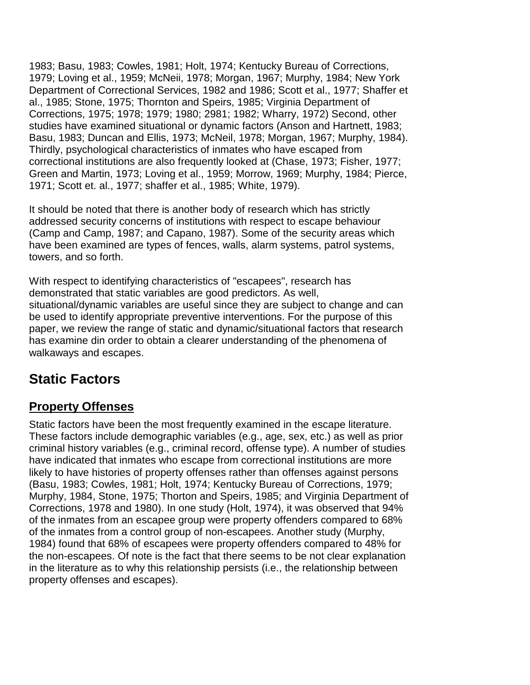1983; Basu, 1983; Cowles, 1981; Holt, 1974; Kentucky Bureau of Corrections, 1979; Loving et al., 1959; McNeii, 1978; Morgan, 1967; Murphy, 1984; New York Department of Correctional Services, 1982 and 1986; Scott et al., 1977; Shaffer et al., 1985; Stone, 1975; Thornton and Speirs, 1985; Virginia Department of Corrections, 1975; 1978; 1979; 1980; 2981; 1982; Wharry, 1972) Second, other studies have examined situational or dynamic factors (Anson and Hartnett, 1983; Basu, 1983; Duncan and Ellis, 1973; McNeil, 1978; Morgan, 1967; Murphy, 1984). Thirdly, psychological characteristics of inmates who have escaped from correctional institutions are also frequently looked at (Chase, 1973; Fisher, 1977; Green and Martin, 1973; Loving et al., 1959; Morrow, 1969; Murphy, 1984; Pierce, 1971; Scott et. al., 1977; shaffer et al., 1985; White, 1979).

It should be noted that there is another body of research which has strictly addressed security concerns of institutions with respect to escape behaviour (Camp and Camp, 1987; and Capano, 1987). Some of the security areas which have been examined are types of fences, walls, alarm systems, patrol systems, towers, and so forth.

With respect to identifying characteristics of "escapees", research has demonstrated that static variables are good predictors. As well, situational/dynamic variables are useful since they are subject to change and can be used to identify appropriate preventive interventions. For the purpose of this paper, we review the range of static and dynamic/situational factors that research has examine din order to obtain a clearer understanding of the phenomena of walkaways and escapes.

# **Static Factors**

## **Property Offenses**

Static factors have been the most frequently examined in the escape literature. These factors include demographic variables (e.g., age, sex, etc.) as well as prior criminal history variables (e.g., criminal record, offense type). A number of studies have indicated that inmates who escape from correctional institutions are more likely to have histories of property offenses rather than offenses against persons (Basu, 1983; Cowles, 1981; Holt, 1974; Kentucky Bureau of Corrections, 1979; Murphy, 1984, Stone, 1975; Thorton and Speirs, 1985; and Virginia Department of Corrections, 1978 and 1980). In one study (Holt, 1974), it was observed that 94% of the inmates from an escapee group were property offenders compared to 68% of the inmates from a control group of non-escapees. Another study (Murphy, 1984) found that 68% of escapees were property offenders compared to 48% for the non-escapees. Of note is the fact that there seems to be not clear explanation in the literature as to why this relationship persists (i.e., the relationship between property offenses and escapes).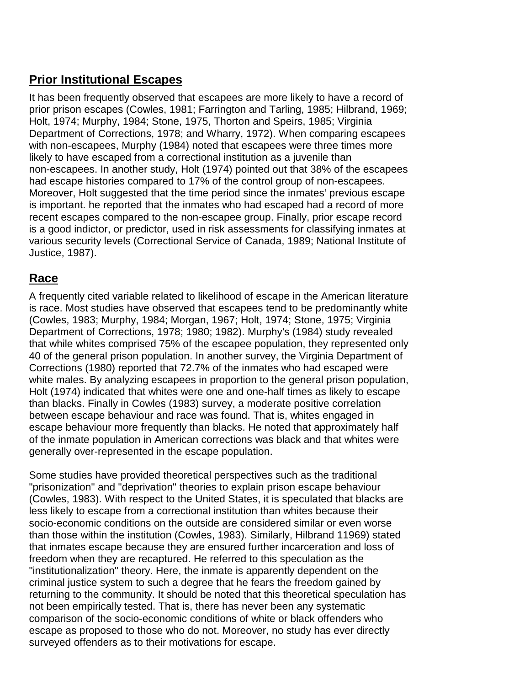#### **Prior Institutional Escapes**

It has been frequently observed that escapees are more likely to have a record of prior prison escapes (Cowles, 1981; Farrington and Tarling, 1985; Hilbrand, 1969; Holt, 1974; Murphy, 1984; Stone, 1975, Thorton and Speirs, 1985; Virginia Department of Corrections, 1978; and Wharry, 1972). When comparing escapees with non-escapees, Murphy (1984) noted that escapees were three times more likely to have escaped from a correctional institution as a juvenile than non-escapees. In another study, Holt (1974) pointed out that 38% of the escapees had escape histories compared to 17% of the control group of non-escapees. Moreover, Holt suggested that the time period since the inmates' previous escape is important. he reported that the inmates who had escaped had a record of more recent escapes compared to the non-escapee group. Finally, prior escape record is a good indictor, or predictor, used in risk assessments for classifying inmates at various security levels (Correctional Service of Canada, 1989; National Institute of Justice, 1987).

## **Race**

A frequently cited variable related to likelihood of escape in the American literature is race. Most studies have observed that escapees tend to be predominantly white (Cowles, 1983; Murphy, 1984; Morgan, 1967; Holt, 1974; Stone, 1975; Virginia Department of Corrections, 1978; 1980; 1982). Murphy's (1984) study revealed that while whites comprised 75% of the escapee population, they represented only 40 of the general prison population. In another survey, the Virginia Department of Corrections (1980) reported that 72.7% of the inmates who had escaped were white males. By analyzing escapees in proportion to the general prison population, Holt (1974) indicated that whites were one and one-half times as likely to escape than blacks. Finally in Cowles (1983) survey, a moderate positive correlation between escape behaviour and race was found. That is, whites engaged in escape behaviour more frequently than blacks. He noted that approximately half of the inmate population in American corrections was black and that whites were generally over-represented in the escape population.

Some studies have provided theoretical perspectives such as the traditional "prisonization" and "deprivation" theories to explain prison escape behaviour (Cowles, 1983). With respect to the United States, it is speculated that blacks are less likely to escape from a correctional institution than whites because their socio-economic conditions on the outside are considered similar or even worse than those within the institution (Cowles, 1983). Similarly, Hilbrand 11969) stated that inmates escape because they are ensured further incarceration and loss of freedom when they are recaptured. He referred to this speculation as the "institutionalization" theory. Here, the inmate is apparently dependent on the criminal justice system to such a degree that he fears the freedom gained by returning to the community. It should be noted that this theoretical speculation has not been empirically tested. That is, there has never been any systematic comparison of the socio-economic conditions of white or black offenders who escape as proposed to those who do not. Moreover, no study has ever directly surveyed offenders as to their motivations for escape.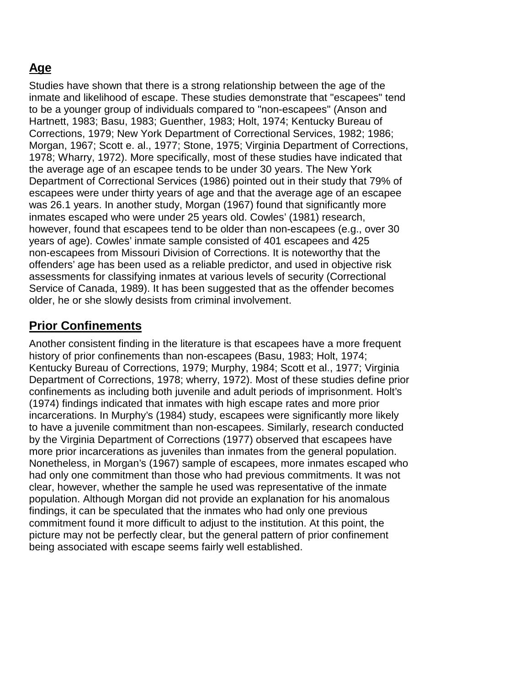## **Age**

Studies have shown that there is a strong relationship between the age of the inmate and likelihood of escape. These studies demonstrate that "escapees" tend to be a younger group of individuals compared to "non-escapees" (Anson and Hartnett, 1983; Basu, 1983; Guenther, 1983; Holt, 1974; Kentucky Bureau of Corrections, 1979; New York Department of Correctional Services, 1982; 1986; Morgan, 1967; Scott e. al., 1977; Stone, 1975; Virginia Department of Corrections, 1978; Wharry, 1972). More specifically, most of these studies have indicated that the average age of an escapee tends to be under 30 years. The New York Department of Correctional Services (1986) pointed out in their study that 79% of escapees were under thirty years of age and that the average age of an escapee was 26.1 years. In another study, Morgan (1967) found that significantly more inmates escaped who were under 25 years old. Cowles' (1981) research, however, found that escapees tend to be older than non-escapees (e.g., over 30 years of age). Cowles' inmate sample consisted of 401 escapees and 425 non-escapees from Missouri Division of Corrections. It is noteworthy that the offenders' age has been used as a reliable predictor, and used in objective risk assessments for classifying inmates at various levels of security (Correctional Service of Canada, 1989). It has been suggested that as the offender becomes older, he or she slowly desists from criminal involvement.

#### **Prior Confinements**

Another consistent finding in the literature is that escapees have a more frequent history of prior confinements than non-escapees (Basu, 1983; Holt, 1974; Kentucky Bureau of Corrections, 1979; Murphy, 1984; Scott et al., 1977; Virginia Department of Corrections, 1978; wherry, 1972). Most of these studies define prior confinements as including both juvenile and adult periods of imprisonment. Holt's (1974) findings indicated that inmates with high escape rates and more prior incarcerations. In Murphy's (1984) study, escapees were significantly more likely to have a juvenile commitment than non-escapees. Similarly, research conducted by the Virginia Department of Corrections (1977) observed that escapees have more prior incarcerations as juveniles than inmates from the general population. Nonetheless, in Morgan's (1967) sample of escapees, more inmates escaped who had only one commitment than those who had previous commitments. It was not clear, however, whether the sample he used was representative of the inmate population. Although Morgan did not provide an explanation for his anomalous findings, it can be speculated that the inmates who had only one previous commitment found it more difficult to adjust to the institution. At this point, the picture may not be perfectly clear, but the general pattern of prior confinement being associated with escape seems fairly well established.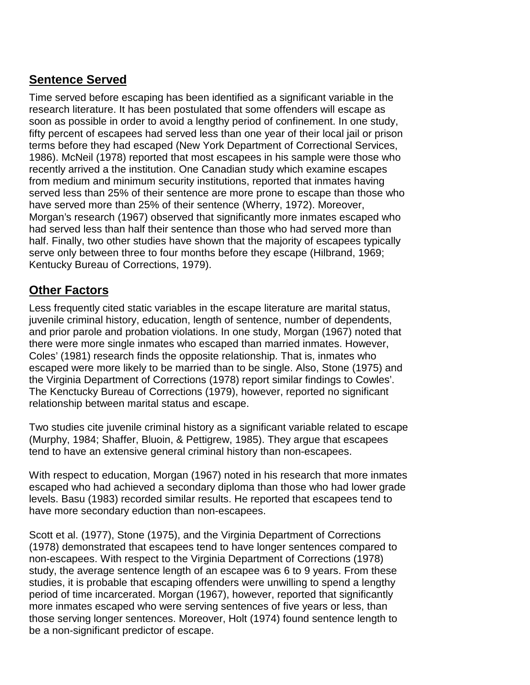#### **Sentence Served**

Time served before escaping has been identified as a significant variable in the research literature. It has been postulated that some offenders will escape as soon as possible in order to avoid a lengthy period of confinement. In one study, fifty percent of escapees had served less than one year of their local jail or prison terms before they had escaped (New York Department of Correctional Services, 1986). McNeil (1978) reported that most escapees in his sample were those who recently arrived a the institution. One Canadian study which examine escapes from medium and minimum security institutions, reported that inmates having served less than 25% of their sentence are more prone to escape than those who have served more than 25% of their sentence (Wherry, 1972). Moreover, Morgan's research (1967) observed that significantly more inmates escaped who had served less than half their sentence than those who had served more than half. Finally, two other studies have shown that the majority of escapees typically serve only between three to four months before they escape (Hilbrand, 1969; Kentucky Bureau of Corrections, 1979).

## **Other Factors**

Less frequently cited static variables in the escape literature are marital status, juvenile criminal history, education, length of sentence, number of dependents, and prior parole and probation violations. In one study, Morgan (1967) noted that there were more single inmates who escaped than married inmates. However, Coles' (1981) research finds the opposite relationship. That is, inmates who escaped were more likely to be married than to be single. Also, Stone (1975) and the Virginia Department of Corrections (1978) report similar findings to Cowles'. The Kenctucky Bureau of Corrections (1979), however, reported no significant relationship between marital status and escape.

Two studies cite juvenile criminal history as a significant variable related to escape (Murphy, 1984; Shaffer, Bluoin, & Pettigrew, 1985). They argue that escapees tend to have an extensive general criminal history than non-escapees.

With respect to education, Morgan (1967) noted in his research that more inmates escaped who had achieved a secondary diploma than those who had lower grade levels. Basu (1983) recorded similar results. He reported that escapees tend to have more secondary eduction than non-escapees.

Scott et al. (1977), Stone (1975), and the Virginia Department of Corrections (1978) demonstrated that escapees tend to have longer sentences compared to non-escapees. With respect to the Virginia Department of Corrections (1978) study, the average sentence length of an escapee was 6 to 9 years. From these studies, it is probable that escaping offenders were unwilling to spend a lengthy period of time incarcerated. Morgan (1967), however, reported that significantly more inmates escaped who were serving sentences of five years or less, than those serving longer sentences. Moreover, Holt (1974) found sentence length to be a non-significant predictor of escape.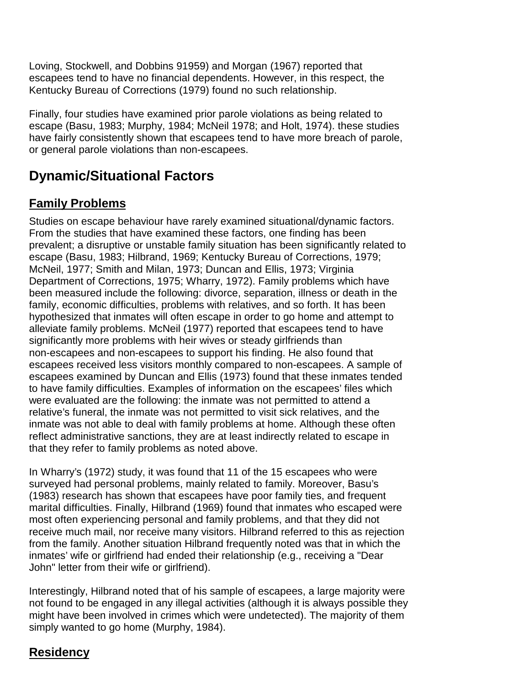Loving, Stockwell, and Dobbins 91959) and Morgan (1967) reported that escapees tend to have no financial dependents. However, in this respect, the Kentucky Bureau of Corrections (1979) found no such relationship.

Finally, four studies have examined prior parole violations as being related to escape (Basu, 1983; Murphy, 1984; McNeil 1978; and Holt, 1974). these studies have fairly consistently shown that escapees tend to have more breach of parole, or general parole violations than non-escapees.

## **Dynamic/Situational Factors**

## **Family Problems**

Studies on escape behaviour have rarely examined situational/dynamic factors. From the studies that have examined these factors, one finding has been prevalent; a disruptive or unstable family situation has been significantly related to escape (Basu, 1983; Hilbrand, 1969; Kentucky Bureau of Corrections, 1979; McNeil, 1977; Smith and Milan, 1973; Duncan and Ellis, 1973; Virginia Department of Corrections, 1975; Wharry, 1972). Family problems which have been measured include the following: divorce, separation, illness or death in the family, economic difficulties, problems with relatives, and so forth. It has been hypothesized that inmates will often escape in order to go home and attempt to alleviate family problems. McNeil (1977) reported that escapees tend to have significantly more problems with heir wives or steady girlfriends than non-escapees and non-escapees to support his finding. He also found that escapees received less visitors monthly compared to non-escapees. A sample of escapees examined by Duncan and Ellis (1973) found that these inmates tended to have family difficulties. Examples of information on the escapees' files which were evaluated are the following: the inmate was not permitted to attend a relative's funeral, the inmate was not permitted to visit sick relatives, and the inmate was not able to deal with family problems at home. Although these often reflect administrative sanctions, they are at least indirectly related to escape in that they refer to family problems as noted above.

In Wharry's (1972) study, it was found that 11 of the 15 escapees who were surveyed had personal problems, mainly related to family. Moreover, Basu's (1983) research has shown that escapees have poor family ties, and frequent marital difficulties. Finally, Hilbrand (1969) found that inmates who escaped were most often experiencing personal and family problems, and that they did not receive much mail, nor receive many visitors. Hilbrand referred to this as rejection from the family. Another situation Hilbrand frequently noted was that in which the inmates' wife or girlfriend had ended their relationship (e.g., receiving a "Dear John" letter from their wife or girlfriend).

Interestingly, Hilbrand noted that of his sample of escapees, a large majority were not found to be engaged in any illegal activities (although it is always possible they might have been involved in crimes which were undetected). The majority of them simply wanted to go home (Murphy, 1984).

#### **Residency**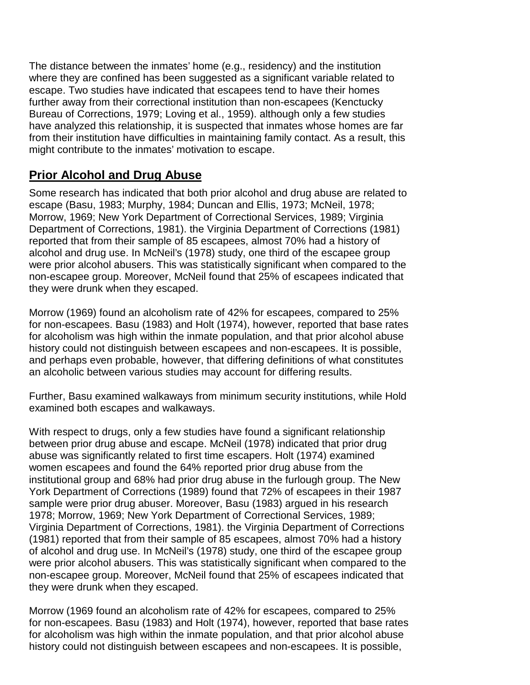The distance between the inmates' home (e.g., residency) and the institution where they are confined has been suggested as a significant variable related to escape. Two studies have indicated that escapees tend to have their homes further away from their correctional institution than non-escapees (Kenctucky Bureau of Corrections, 1979; Loving et al., 1959). although only a few studies have analyzed this relationship, it is suspected that inmates whose homes are far from their institution have difficulties in maintaining family contact. As a result, this might contribute to the inmates' motivation to escape.

#### **Prior Alcohol and Drug Abuse**

Some research has indicated that both prior alcohol and drug abuse are related to escape (Basu, 1983; Murphy, 1984; Duncan and Ellis, 1973; McNeil, 1978; Morrow, 1969; New York Department of Correctional Services, 1989; Virginia Department of Corrections, 1981). the Virginia Department of Corrections (1981) reported that from their sample of 85 escapees, almost 70% had a history of alcohol and drug use. In McNeil's (1978) study, one third of the escapee group were prior alcohol abusers. This was statistically significant when compared to the non-escapee group. Moreover, McNeil found that 25% of escapees indicated that they were drunk when they escaped.

Morrow (1969) found an alcoholism rate of 42% for escapees, compared to 25% for non-escapees. Basu (1983) and Holt (1974), however, reported that base rates for alcoholism was high within the inmate population, and that prior alcohol abuse history could not distinguish between escapees and non-escapees. It is possible, and perhaps even probable, however, that differing definitions of what constitutes an alcoholic between various studies may account for differing results.

Further, Basu examined walkaways from minimum security institutions, while Hold examined both escapes and walkaways.

With respect to drugs, only a few studies have found a significant relationship between prior drug abuse and escape. McNeil (1978) indicated that prior drug abuse was significantly related to first time escapers. Holt (1974) examined women escapees and found the 64% reported prior drug abuse from the institutional group and 68% had prior drug abuse in the furlough group. The New York Department of Corrections (1989) found that 72% of escapees in their 1987 sample were prior drug abuser. Moreover, Basu (1983) argued in his research 1978; Morrow, 1969; New York Department of Correctional Services, 1989; Virginia Department of Corrections, 1981). the Virginia Department of Corrections (1981) reported that from their sample of 85 escapees, almost 70% had a history of alcohol and drug use. In McNeil's (1978) study, one third of the escapee group were prior alcohol abusers. This was statistically significant when compared to the non-escapee group. Moreover, McNeil found that 25% of escapees indicated that they were drunk when they escaped.

Morrow (1969 found an alcoholism rate of 42% for escapees, compared to 25% for non-escapees. Basu (1983) and Holt (1974), however, reported that base rates for alcoholism was high within the inmate population, and that prior alcohol abuse history could not distinguish between escapees and non-escapees. It is possible,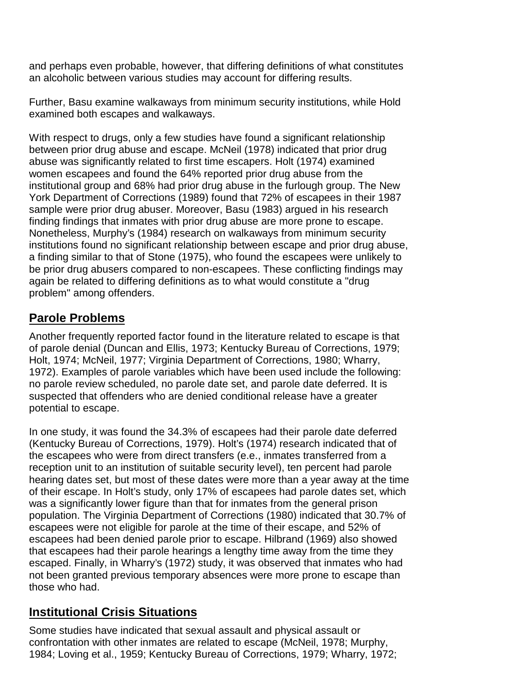and perhaps even probable, however, that differing definitions of what constitutes an alcoholic between various studies may account for differing results.

Further, Basu examine walkaways from minimum security institutions, while Hold examined both escapes and walkaways.

With respect to drugs, only a few studies have found a significant relationship between prior drug abuse and escape. McNeil (1978) indicated that prior drug abuse was significantly related to first time escapers. Holt (1974) examined women escapees and found the 64% reported prior drug abuse from the institutional group and 68% had prior drug abuse in the furlough group. The New York Department of Corrections (1989) found that 72% of escapees in their 1987 sample were prior drug abuser. Moreover, Basu (1983) argued in his research finding findings that inmates with prior drug abuse are more prone to escape. Nonetheless, Murphy's (1984) research on walkaways from minimum security institutions found no significant relationship between escape and prior drug abuse, a finding similar to that of Stone (1975), who found the escapees were unlikely to be prior drug abusers compared to non-escapees. These conflicting findings may again be related to differing definitions as to what would constitute a "drug problem" among offenders.

#### **Parole Problems**

Another frequently reported factor found in the literature related to escape is that of parole denial (Duncan and Ellis, 1973; Kentucky Bureau of Corrections, 1979; Holt, 1974; McNeil, 1977; Virginia Department of Corrections, 1980; Wharry, 1972). Examples of parole variables which have been used include the following: no parole review scheduled, no parole date set, and parole date deferred. It is suspected that offenders who are denied conditional release have a greater potential to escape.

In one study, it was found the 34.3% of escapees had their parole date deferred (Kentucky Bureau of Corrections, 1979). Holt's (1974) research indicated that of the escapees who were from direct transfers (e.e., inmates transferred from a reception unit to an institution of suitable security level), ten percent had parole hearing dates set, but most of these dates were more than a year away at the time of their escape. In Holt's study, only 17% of escapees had parole dates set, which was a significantly lower figure than that for inmates from the general prison population. The Virginia Department of Corrections (1980) indicated that 30.7% of escapees were not eligible for parole at the time of their escape, and 52% of escapees had been denied parole prior to escape. Hilbrand (1969) also showed that escapees had their parole hearings a lengthy time away from the time they escaped. Finally, in Wharry's (1972) study, it was observed that inmates who had not been granted previous temporary absences were more prone to escape than those who had.

#### **Institutional Crisis Situations**

Some studies have indicated that sexual assault and physical assault or confrontation with other inmates are related to escape (McNeil, 1978; Murphy, 1984; Loving et al., 1959; Kentucky Bureau of Corrections, 1979; Wharry, 1972;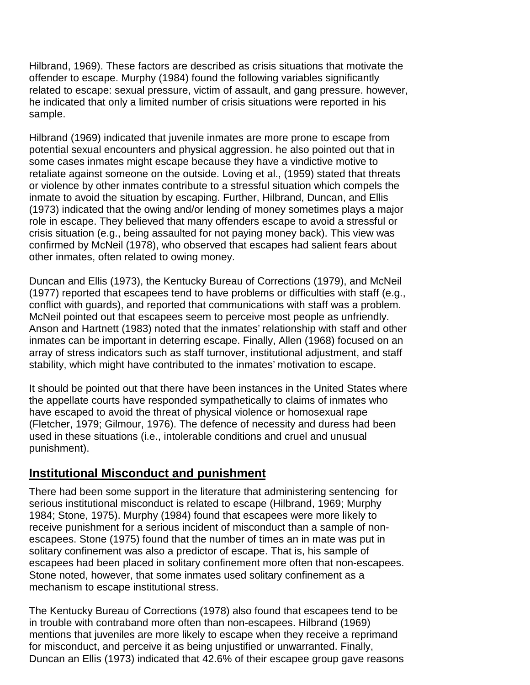Hilbrand, 1969). These factors are described as crisis situations that motivate the offender to escape. Murphy (1984) found the following variables significantly related to escape: sexual pressure, victim of assault, and gang pressure. however, he indicated that only a limited number of crisis situations were reported in his sample.

Hilbrand (1969) indicated that juvenile inmates are more prone to escape from potential sexual encounters and physical aggression. he also pointed out that in some cases inmates might escape because they have a vindictive motive to retaliate against someone on the outside. Loving et al., (1959) stated that threats or violence by other inmates contribute to a stressful situation which compels the inmate to avoid the situation by escaping. Further, Hilbrand, Duncan, and Ellis (1973) indicated that the owing and/or lending of money sometimes plays a major role in escape. They believed that many offenders escape to avoid a stressful or crisis situation (e.g., being assaulted for not paying money back). This view was confirmed by McNeil (1978), who observed that escapes had salient fears about other inmates, often related to owing money.

Duncan and Ellis (1973), the Kentucky Bureau of Corrections (1979), and McNeil (1977) reported that escapees tend to have problems or difficulties with staff (e.g., conflict with guards), and reported that communications with staff was a problem. McNeil pointed out that escapees seem to perceive most people as unfriendly. Anson and Hartnett (1983) noted that the inmates' relationship with staff and other inmates can be important in deterring escape. Finally, Allen (1968) focused on an array of stress indicators such as staff turnover, institutional adjustment, and staff stability, which might have contributed to the inmates' motivation to escape.

It should be pointed out that there have been instances in the United States where the appellate courts have responded sympathetically to claims of inmates who have escaped to avoid the threat of physical violence or homosexual rape (Fletcher, 1979; Gilmour, 1976). The defence of necessity and duress had been used in these situations (i.e., intolerable conditions and cruel and unusual punishment).

#### **Institutional Misconduct and punishment**

There had been some support in the literature that administering sentencing for serious institutional misconduct is related to escape (Hilbrand, 1969; Murphy 1984; Stone, 1975). Murphy (1984) found that escapees were more likely to receive punishment for a serious incident of misconduct than a sample of nonescapees. Stone (1975) found that the number of times an in mate was put in solitary confinement was also a predictor of escape. That is, his sample of escapees had been placed in solitary confinement more often that non-escapees. Stone noted, however, that some inmates used solitary confinement as a mechanism to escape institutional stress.

The Kentucky Bureau of Corrections (1978) also found that escapees tend to be in trouble with contraband more often than non-escapees. Hilbrand (1969) mentions that juveniles are more likely to escape when they receive a reprimand for misconduct, and perceive it as being unjustified or unwarranted. Finally, Duncan an Ellis (1973) indicated that 42.6% of their escapee group gave reasons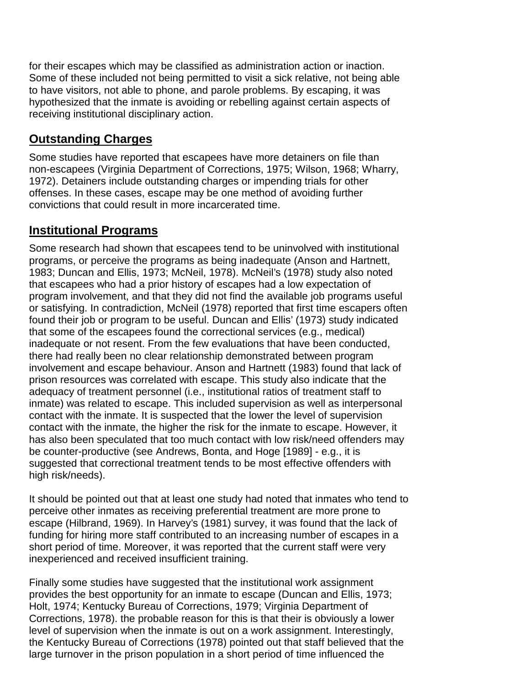for their escapes which may be classified as administration action or inaction. Some of these included not being permitted to visit a sick relative, not being able to have visitors, not able to phone, and parole problems. By escaping, it was hypothesized that the inmate is avoiding or rebelling against certain aspects of receiving institutional disciplinary action.

### **Outstanding Charges**

Some studies have reported that escapees have more detainers on file than non-escapees (Virginia Department of Corrections, 1975; Wilson, 1968; Wharry, 1972). Detainers include outstanding charges or impending trials for other offenses. In these cases, escape may be one method of avoiding further convictions that could result in more incarcerated time.

#### **Institutional Programs**

Some research had shown that escapees tend to be uninvolved with institutional programs, or perceive the programs as being inadequate (Anson and Hartnett, 1983; Duncan and Ellis, 1973; McNeil, 1978). McNeil's (1978) study also noted that escapees who had a prior history of escapes had a low expectation of program involvement, and that they did not find the available job programs useful or satisfying. In contradiction, McNeil (1978) reported that first time escapers often found their job or program to be useful. Duncan and Ellis' (1973) study indicated that some of the escapees found the correctional services (e.g., medical) inadequate or not resent. From the few evaluations that have been conducted, there had really been no clear relationship demonstrated between program involvement and escape behaviour. Anson and Hartnett (1983) found that lack of prison resources was correlated with escape. This study also indicate that the adequacy of treatment personnel (i.e., institutional ratios of treatment staff to inmate) was related to escape. This included supervision as well as interpersonal contact with the inmate. It is suspected that the lower the level of supervision contact with the inmate, the higher the risk for the inmate to escape. However, it has also been speculated that too much contact with low risk/need offenders may be counter-productive (see Andrews, Bonta, and Hoge [1989] - e.g., it is suggested that correctional treatment tends to be most effective offenders with high risk/needs).

It should be pointed out that at least one study had noted that inmates who tend to perceive other inmates as receiving preferential treatment are more prone to escape (Hilbrand, 1969). In Harvey's (1981) survey, it was found that the lack of funding for hiring more staff contributed to an increasing number of escapes in a short period of time. Moreover, it was reported that the current staff were very inexperienced and received insufficient training.

Finally some studies have suggested that the institutional work assignment provides the best opportunity for an inmate to escape (Duncan and Ellis, 1973; Holt, 1974; Kentucky Bureau of Corrections, 1979; Virginia Department of Corrections, 1978). the probable reason for this is that their is obviously a lower level of supervision when the inmate is out on a work assignment. Interestingly, the Kentucky Bureau of Corrections (1978) pointed out that staff believed that the large turnover in the prison population in a short period of time influenced the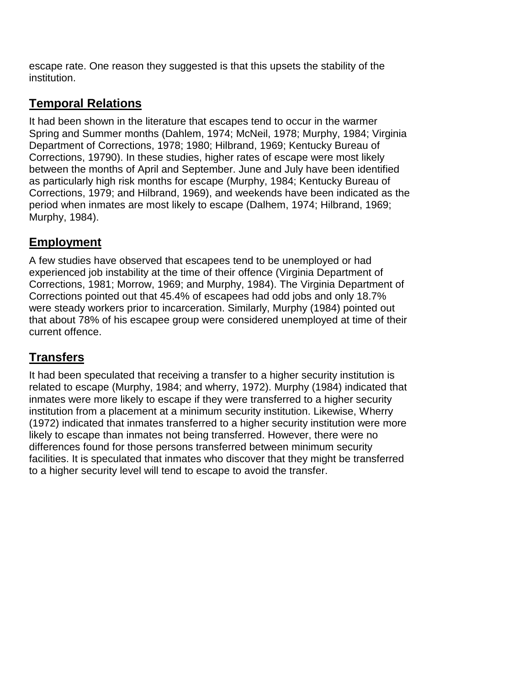escape rate. One reason they suggested is that this upsets the stability of the institution.

## **Temporal Relations**

It had been shown in the literature that escapes tend to occur in the warmer Spring and Summer months (Dahlem, 1974; McNeil, 1978; Murphy, 1984; Virginia Department of Corrections, 1978; 1980; Hilbrand, 1969; Kentucky Bureau of Corrections, 19790). In these studies, higher rates of escape were most likely between the months of April and September. June and July have been identified as particularly high risk months for escape (Murphy, 1984; Kentucky Bureau of Corrections, 1979; and Hilbrand, 1969), and weekends have been indicated as the period when inmates are most likely to escape (Dalhem, 1974; Hilbrand, 1969; Murphy, 1984).

## **EmpIoyment**

A few studies have observed that escapees tend to be unemployed or had experienced job instability at the time of their offence (Virginia Department of Corrections, 1981; Morrow, 1969; and Murphy, 1984). The Virginia Department of Corrections pointed out that 45.4% of escapees had odd jobs and only 18.7% were steady workers prior to incarceration. Similarly, Murphy (1984) pointed out that about 78% of his escapee group were considered unemployed at time of their current offence.

## **Transfers**

It had been speculated that receiving a transfer to a higher security institution is related to escape (Murphy, 1984; and wherry, 1972). Murphy (1984) indicated that inmates were more likely to escape if they were transferred to a higher security institution from a placement at a minimum security institution. Likewise, Wherry (1972) indicated that inmates transferred to a higher security institution were more likely to escape than inmates not being transferred. However, there were no differences found for those persons transferred between minimum security facilities. It is speculated that inmates who discover that they might be transferred to a higher security level will tend to escape to avoid the transfer.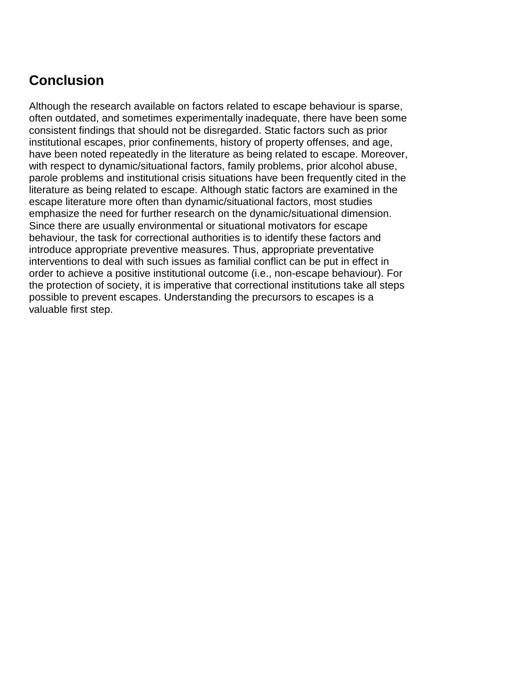## **Conclusion**

Although the research available on factors related to escape behaviour is sparse, often outdated, and sometimes experimentally inadequate, there have been some consistent findings that should not be disregarded. Static factors such as prior institutional escapes, prior confinements, history of property offenses, and age, have been noted repeatedly in the literature as being related to escape. Moreover, with respect to dynamic/situational factors, family problems, prior alcohol abuse, parole problems and institutional crisis situations have been frequently cited in the literature as being related to escape. Although static factors are examined in the escape literature more often than dynamic/situational factors, most studies emphasize the need for further research on the dynamic/situational dimension. Since there are usually environmental or situational motivators for escape behaviour, the task for correctional authorities is to identify these factors and introduce appropriate preventive measures. Thus, appropriate preventative interventions to deal with such issues as familial conflict can be put in effect in order to achieve a positive institutional outcome (i.e., non-escape behaviour). For the protection of society, it is imperative that correctional institutions take all steps possible to prevent escapes. Understanding the precursors to escapes is a valuable first step.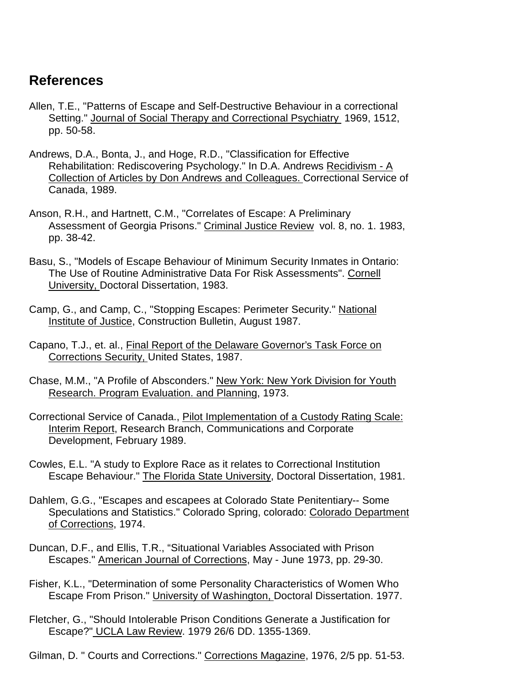## **References**

- Allen, T.E., "Patterns of Escape and Self-Destructive Behaviour in a correctional Setting." Journal of Social Therapy and Correctional Psychiatry 1969, 1512, pp. 50-58.
- Andrews, D.A., Bonta, J., and Hoge, R.D., "Classification for Effective Rehabilitation: Rediscovering Psychology." In D.A. Andrews Recidivism - A Collection of Articles by Don Andrews and Colleagues. Correctional Service of Canada, 1989.
- Anson, R.H., and Hartnett, C.M., "Correlates of Escape: A Preliminary Assessment of Georgia Prisons." Criminal Justice Review vol. 8, no. 1. 1983, pp. 38-42.
- Basu, S., "Models of Escape Behaviour of Minimum Security Inmates in Ontario: The Use of Routine Administrative Data For Risk Assessments". Cornell University, Doctoral Dissertation, 1983.
- Camp, G., and Camp, C., "Stopping Escapes: Perimeter Security." National Institute of Justice, Construction Bulletin, August 1987.
- Capano, T.J., et. al., Final Report of the Delaware Governor's Task Force on Corrections Security, United States, 1987.
- Chase, M.M., "A Profile of Absconders." New York: New York Division for Youth Research. Program Evaluation. and Planning, 1973.
- Correctional Service of Canada., Pilot Implementation of a Custody Rating Scale: Interim Report, Research Branch, Communications and Corporate Development, February 1989.
- Cowles, E.L. "A study to Explore Race as it relates to Correctional Institution Escape Behaviour." The Florida State University, Doctoral Dissertation, 1981.
- Dahlem, G.G., "Escapes and escapees at Colorado State Penitentiary-- Some Speculations and Statistics." Colorado Spring, colorado: Colorado Department of Corrections, 1974.
- Duncan, D.F., and Ellis, T.R., "Situational Variables Associated with Prison Escapes." American Journal of Corrections, May - June 1973, pp. 29-30.
- Fisher, K.L., "Determination of some Personality Characteristics of Women Who Escape From Prison." University of Washington, Doctoral Dissertation. 1977.
- Fletcher, G., "Should Intolerable Prison Conditions Generate a Justification for Escape?" UCLA Law Review. 1979 26/6 DD. 1355-1369.
- Gilman, D. " Courts and Corrections." Corrections Magazine, 1976, 2/5 pp. 51-53.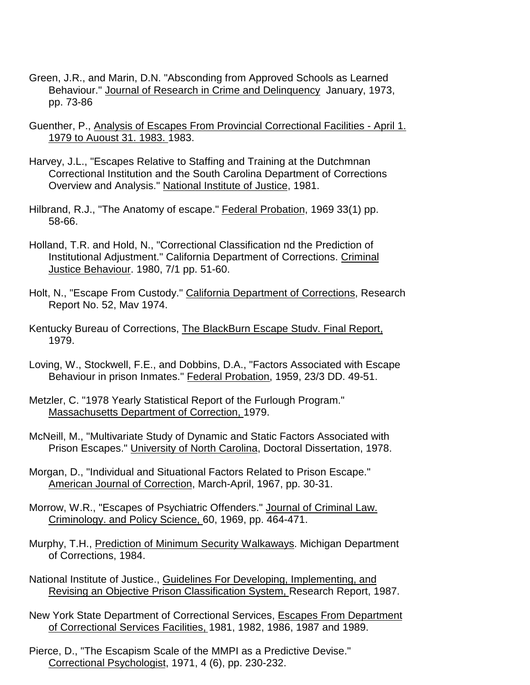- Green, J.R., and Marin, D.N. "Absconding from Approved Schools as Learned Behaviour." Journal of Research in Crime and Delinquency January, 1973, pp. 73-86
- Guenther, P., Analysis of Escapes From Provincial Correctional Facilities April 1. 1979 to Auoust 31. 1983. 1983.
- Harvey, J.L., "Escapes Relative to Staffing and Training at the Dutchmnan Correctional Institution and the South Carolina Department of Corrections Overview and Analysis." National Institute of Justice, 1981.
- Hilbrand, R.J., "The Anatomy of escape." Federal Probation, 1969 33(1) pp. 58-66.
- Holland, T.R. and Hold, N., "Correctional Classification nd the Prediction of Institutional Adjustment." California Department of Corrections. Criminal Justice Behaviour. 1980, 7/1 pp. 51-60.
- Holt, N., "Escape From Custody." California Department of Corrections, Research Report No. 52, Mav 1974.
- Kentucky Bureau of Corrections, The BlackBurn Escape Studv. Final Report, 1979.
- Loving, W., Stockwell, F.E., and Dobbins, D.A., "Factors Associated with Escape Behaviour in prison Inmates." Federal Probation, 1959, 23/3 DD. 49-51.
- Metzler, C. "1978 Yearly Statistical Report of the Furlough Program." Massachusetts Department of Correction, 1979.
- McNeill, M., "Multivariate Study of Dynamic and Static Factors Associated with Prison Escapes." University of North Carolina, Doctoral Dissertation, 1978.
- Morgan, D., "Individual and Situational Factors Related to Prison Escape." American Journal of Correction, March-April, 1967, pp. 30-31.
- Morrow, W.R., "Escapes of Psychiatric Offenders." Journal of Criminal Law. Criminology. and Policy Science, 60, 1969, pp. 464-471.
- Murphy, T.H., Prediction of Minimum Security Walkaways. Michigan Department of Corrections, 1984.
- National Institute of Justice., Guidelines For Developing, Implementing, and Revising an Objective Prison Classification System, Research Report, 1987.
- New York State Department of Correctional Services, Escapes From Department of Correctional Services Facilities, 1981, 1982, 1986, 1987 and 1989.
- Pierce, D., "The Escapism Scale of the MMPI as a Predictive Devise." Correctional Psychologist, 1971, 4 (6), pp. 230-232.